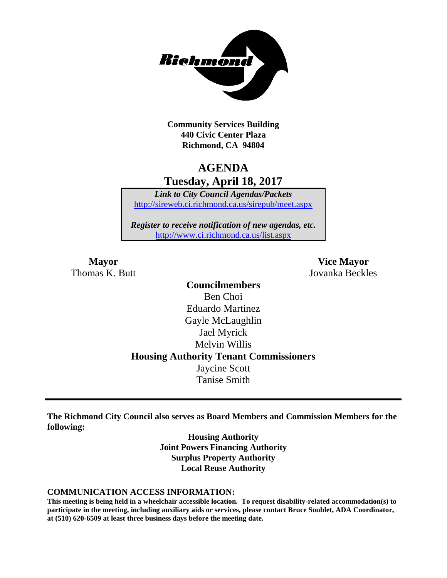

**Community Services Building 440 Civic Center Plaza Richmond, CA 94804**

# **AGENDA Tuesday, April 18, 2017**

*Link to City Council Agendas/Packets* <http://sireweb.ci.richmond.ca.us/sirepub/meet.aspx>

*Register to receive notification of new agendas, etc.* <http://www.ci.richmond.ca.us/list.aspx>

**Mayor Vice Mayor** Thomas K. Butt Jovanka Beckles

> **Councilmembers** Ben Choi Eduardo Martinez Gayle McLaughlin Jael Myrick Melvin Willis **Housing Authority Tenant Commissioners** Jaycine Scott Tanise Smith

**The Richmond City Council also serves as Board Members and Commission Members for the following:**

> **Housing Authority Joint Powers Financing Authority Surplus Property Authority Local Reuse Authority**

#### **COMMUNICATION ACCESS INFORMATION:**

**This meeting is being held in a wheelchair accessible location. To request disability-related accommodation(s) to participate in the meeting, including auxiliary aids or services, please contact Bruce Soublet, ADA Coordinator, at (510) 620-6509 at least three business days before the meeting date.**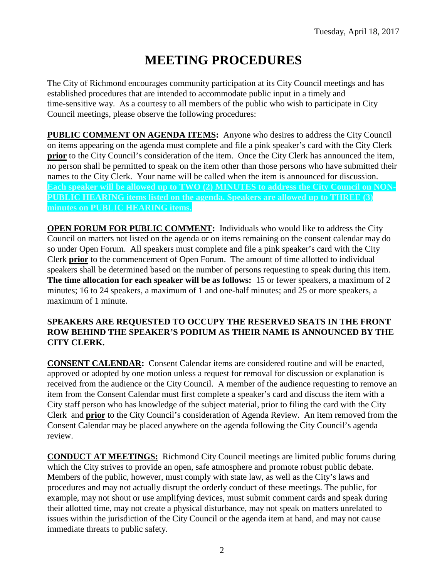# **MEETING PROCEDURES**

The City of Richmond encourages community participation at its City Council meetings and has established procedures that are intended to accommodate public input in a timely and time-sensitive way. As a courtesy to all members of the public who wish to participate in City Council meetings, please observe the following procedures:

**PUBLIC COMMENT ON AGENDA ITEMS:** Anyone who desires to address the City Council on items appearing on the agenda must complete and file a pink speaker's card with the City Clerk **prior** to the City Council's consideration of the item. Once the City Clerk has announced the item, no person shall be permitted to speak on the item other than those persons who have submitted their names to the City Clerk. Your name will be called when the item is announced for discussion. **Each speaker will be allowed up to TWO (2) MINUTES to address the City Council on NON-PUBLIC HEARING items listed on the agenda. Speakers are allowed up to THREE (3) minutes on PUBLIC HEARING items.**

**OPEN FORUM FOR PUBLIC COMMENT:** Individuals who would like to address the City Council on matters not listed on the agenda or on items remaining on the consent calendar may do so under Open Forum. All speakers must complete and file a pink speaker's card with the City Clerk **prior** to the commencement of Open Forum. The amount of time allotted to individual speakers shall be determined based on the number of persons requesting to speak during this item. **The time allocation for each speaker will be as follows:** 15 or fewer speakers, a maximum of 2 minutes; 16 to 24 speakers, a maximum of 1 and one-half minutes; and 25 or more speakers, a maximum of 1 minute.

#### **SPEAKERS ARE REQUESTED TO OCCUPY THE RESERVED SEATS IN THE FRONT ROW BEHIND THE SPEAKER'S PODIUM AS THEIR NAME IS ANNOUNCED BY THE CITY CLERK.**

**CONSENT CALENDAR:** Consent Calendar items are considered routine and will be enacted, approved or adopted by one motion unless a request for removal for discussion or explanation is received from the audience or the City Council. A member of the audience requesting to remove an item from the Consent Calendar must first complete a speaker's card and discuss the item with a City staff person who has knowledge of the subject material, prior to filing the card with the City Clerk and **prior** to the City Council's consideration of Agenda Review. An item removed from the Consent Calendar may be placed anywhere on the agenda following the City Council's agenda review.

**CONDUCT AT MEETINGS:** Richmond City Council meetings are limited public forums during which the City strives to provide an open, safe atmosphere and promote robust public debate. Members of the public, however, must comply with state law, as well as the City's laws and procedures and may not actually disrupt the orderly conduct of these meetings. The public, for example, may not shout or use amplifying devices, must submit comment cards and speak during their allotted time, may not create a physical disturbance, may not speak on matters unrelated to issues within the jurisdiction of the City Council or the agenda item at hand, and may not cause immediate threats to public safety.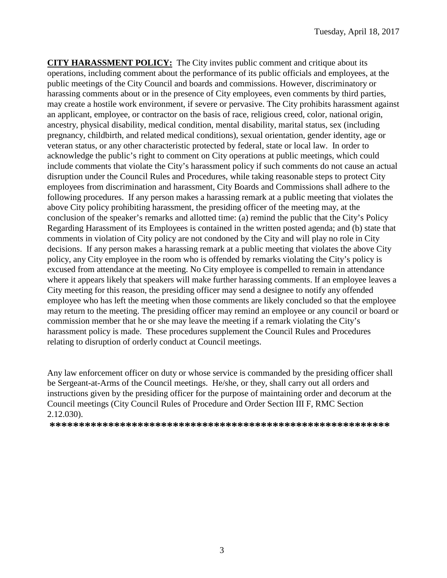**CITY HARASSMENT POLICY:** The City invites public comment and critique about its operations, including comment about the performance of its public officials and employees, at the public meetings of the City Council and boards and commissions. However, discriminatory or harassing comments about or in the presence of City employees, even comments by third parties, may create a hostile work environment, if severe or pervasive. The City prohibits harassment against an applicant, employee, or contractor on the basis of race, religious creed, color, national origin, ancestry, physical disability, medical condition, mental disability, marital status, sex (including pregnancy, childbirth, and related medical conditions), sexual orientation, gender identity, age or veteran status, or any other characteristic protected by federal, state or local law. In order to acknowledge the public's right to comment on City operations at public meetings, which could include comments that violate the City's harassment policy if such comments do not cause an actual disruption under the Council Rules and Procedures, while taking reasonable steps to protect City employees from discrimination and harassment, City Boards and Commissions shall adhere to the following procedures. If any person makes a harassing remark at a public meeting that violates the above City policy prohibiting harassment, the presiding officer of the meeting may, at the conclusion of the speaker's remarks and allotted time: (a) remind the public that the City's Policy Regarding Harassment of its Employees is contained in the written posted agenda; and (b) state that comments in violation of City policy are not condoned by the City and will play no role in City decisions. If any person makes a harassing remark at a public meeting that violates the above City policy, any City employee in the room who is offended by remarks violating the City's policy is excused from attendance at the meeting. No City employee is compelled to remain in attendance where it appears likely that speakers will make further harassing comments. If an employee leaves a City meeting for this reason, the presiding officer may send a designee to notify any offended employee who has left the meeting when those comments are likely concluded so that the employee may return to the meeting. The presiding officer may remind an employee or any council or board or commission member that he or she may leave the meeting if a remark violating the City's harassment policy is made. These procedures supplement the Council Rules and Procedures relating to disruption of orderly conduct at Council meetings.

Any law enforcement officer on duty or whose service is commanded by the presiding officer shall be Sergeant-at-Arms of the Council meetings. He/she, or they, shall carry out all orders and instructions given by the presiding officer for the purpose of maintaining order and decorum at the Council meetings (City Council Rules of Procedure and Order Section III F, RMC Section 2.12.030).

**\*\*\*\*\*\*\*\*\*\*\*\*\*\*\*\*\*\*\*\*\*\*\*\*\*\*\*\*\*\*\*\*\*\*\*\*\*\*\*\*\*\*\*\*\*\*\*\*\*\*\*\*\*\*\*\*\*\***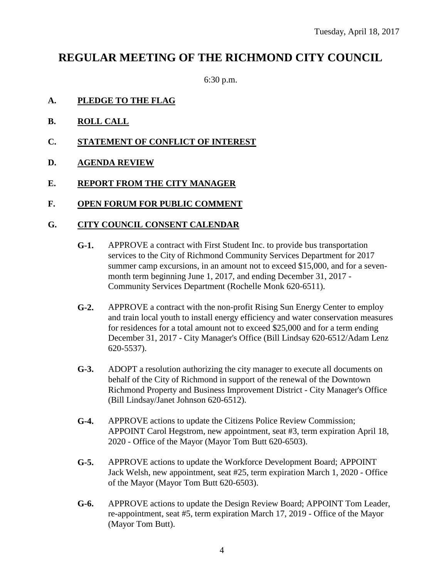# **REGULAR MEETING OF THE RICHMOND CITY COUNCIL**

6:30 p.m.

- **A. PLEDGE TO THE FLAG**
- **B. ROLL CALL**
- **C. STATEMENT OF CONFLICT OF INTEREST**
- **D. AGENDA REVIEW**
- **E. REPORT FROM THE CITY MANAGER**
- **F. OPEN FORUM FOR PUBLIC COMMENT**

#### **G. CITY COUNCIL CONSENT CALENDAR**

- **G-1.** APPROVE a contract with First Student Inc. to provide bus transportation services to the City of Richmond Community Services Department for 2017 summer camp excursions, in an amount not to exceed \$15,000, and for a sevenmonth term beginning June 1, 2017, and ending December 31, 2017 - Community Services Department (Rochelle Monk 620-6511).
- **G-2.** APPROVE a contract with the non-profit Rising Sun Energy Center to employ and train local youth to install energy efficiency and water conservation measures for residences for a total amount not to exceed \$25,000 and for a term ending December 31, 2017 - City Manager's Office (Bill Lindsay 620-6512/Adam Lenz 620-5537).
- **G-3.** ADOPT a resolution authorizing the city manager to execute all documents on behalf of the City of Richmond in support of the renewal of the Downtown Richmond Property and Business Improvement District - City Manager's Office (Bill Lindsay/Janet Johnson 620-6512).
- **G-4.** APPROVE actions to update the Citizens Police Review Commission; APPOINT Carol Hegstrom, new appointment, seat #3, term expiration April 18, 2020 - Office of the Mayor (Mayor Tom Butt 620-6503).
- **G-5.** APPROVE actions to update the Workforce Development Board; APPOINT Jack Welsh, new appointment, seat #25, term expiration March 1, 2020 - Office of the Mayor (Mayor Tom Butt 620-6503).
- **G-6.** APPROVE actions to update the Design Review Board; APPOINT Tom Leader, re-appointment, seat #5, term expiration March 17, 2019 - Office of the Mayor (Mayor Tom Butt).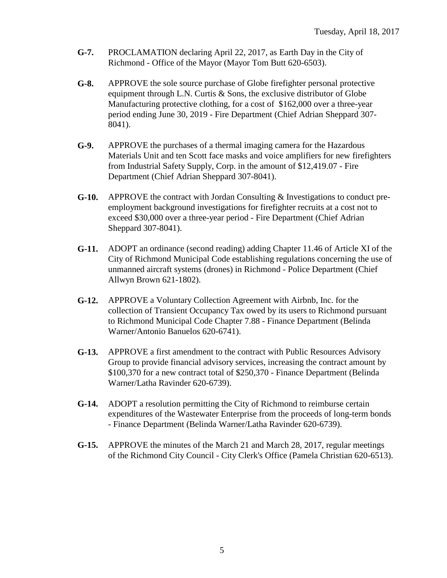- **G-7.** PROCLAMATION declaring April 22, 2017, as Earth Day in the City of Richmond - Office of the Mayor (Mayor Tom Butt 620-6503).
- **G-8.** APPROVE the sole source purchase of Globe firefighter personal protective equipment through L.N. Curtis & Sons, the exclusive distributor of Globe Manufacturing protective clothing, for a cost of \$162,000 over a three-year period ending June 30, 2019 - Fire Department (Chief Adrian Sheppard 307- 8041).
- **G-9.** APPROVE the purchases of a thermal imaging camera for the Hazardous Materials Unit and ten Scott face masks and voice amplifiers for new firefighters from Industrial Safety Supply, Corp. in the amount of \$12,419.07 - Fire Department (Chief Adrian Sheppard 307-8041).
- **G-10.** APPROVE the contract with Jordan Consulting & Investigations to conduct preemployment background investigations for firefighter recruits at a cost not to exceed \$30,000 over a three-year period - Fire Department (Chief Adrian Sheppard 307-8041).
- **G-11.** ADOPT an ordinance (second reading) adding Chapter 11.46 of Article XI of the City of Richmond Municipal Code establishing regulations concerning the use of unmanned aircraft systems (drones) in Richmond - Police Department (Chief Allwyn Brown 621-1802).
- **G-12.** APPROVE a Voluntary Collection Agreement with Airbnb, Inc. for the collection of Transient Occupancy Tax owed by its users to Richmond pursuant to Richmond Municipal Code Chapter 7.88 - Finance Department (Belinda Warner/Antonio Banuelos 620-6741).
- **G-13.** APPROVE a first amendment to the contract with Public Resources Advisory Group to provide financial advisory services, increasing the contract amount by \$100,370 for a new contract total of \$250,370 - Finance Department (Belinda Warner/Latha Ravinder 620-6739).
- **G-14.** ADOPT a resolution permitting the City of Richmond to reimburse certain expenditures of the Wastewater Enterprise from the proceeds of long-term bonds - Finance Department (Belinda Warner/Latha Ravinder 620-6739).
- **G-15.** APPROVE the minutes of the March 21 and March 28, 2017, regular meetings of the Richmond City Council - City Clerk's Office (Pamela Christian 620-6513).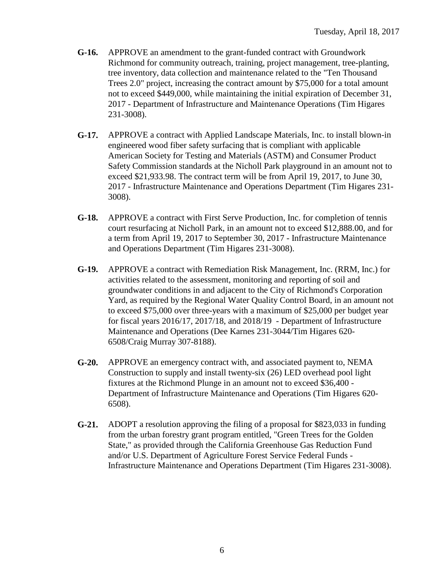- **G-16.** APPROVE an amendment to the grant-funded contract with Groundwork Richmond for community outreach, training, project management, tree-planting, tree inventory, data collection and maintenance related to the "Ten Thousand Trees 2.0" project, increasing the contract amount by \$75,000 for a total amount not to exceed \$449,000, while maintaining the initial expiration of December 31, 2017 - Department of Infrastructure and Maintenance Operations (Tim Higares 231-3008).
- **G-17.** APPROVE a contract with Applied Landscape Materials, Inc. to install blown-in engineered wood fiber safety surfacing that is compliant with applicable American Society for Testing and Materials (ASTM) and Consumer Product Safety Commission standards at the Nicholl Park playground in an amount not to exceed \$21,933.98. The contract term will be from April 19, 2017, to June 30, 2017 - Infrastructure Maintenance and Operations Department (Tim Higares 231- 3008).
- **G-18.** APPROVE a contract with First Serve Production, Inc. for completion of tennis court resurfacing at Nicholl Park, in an amount not to exceed \$12,888.00, and for a term from April 19, 2017 to September 30, 2017 - Infrastructure Maintenance and Operations Department (Tim Higares 231-3008).
- **G-19.** APPROVE a contract with Remediation Risk Management, Inc. (RRM, Inc.) for activities related to the assessment, monitoring and reporting of soil and groundwater conditions in and adjacent to the City of Richmond's Corporation Yard, as required by the Regional Water Quality Control Board, in an amount not to exceed \$75,000 over three-years with a maximum of \$25,000 per budget year for fiscal years 2016/17, 2017/18, and 2018/19 - Department of Infrastructure Maintenance and Operations (Dee Karnes 231-3044/Tim Higares 620- 6508/Craig Murray 307-8188).
- **G-20.** APPROVE an emergency contract with, and associated payment to, NEMA Construction to supply and install twenty-six (26) LED overhead pool light fixtures at the Richmond Plunge in an amount not to exceed \$36,400 - Department of Infrastructure Maintenance and Operations (Tim Higares 620- 6508).
- **G-21.** ADOPT a resolution approving the filing of a proposal for \$823,033 in funding from the urban forestry grant program entitled, "Green Trees for the Golden State," as provided through the California Greenhouse Gas Reduction Fund and/or U.S. Department of Agriculture Forest Service Federal Funds - Infrastructure Maintenance and Operations Department (Tim Higares 231-3008).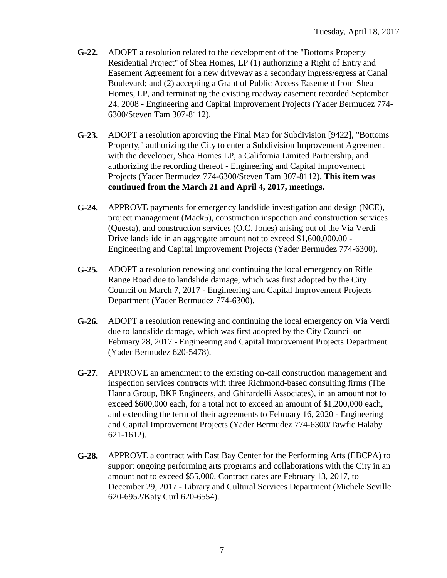- **G-22.** ADOPT a resolution related to the development of the "Bottoms Property Residential Project" of Shea Homes, LP (1) authorizing a Right of Entry and Easement Agreement for a new driveway as a secondary ingress/egress at Canal Boulevard; and (2) accepting a Grant of Public Access Easement from Shea Homes, LP, and terminating the existing roadway easement recorded September 24, 2008 - Engineering and Capital Improvement Projects (Yader Bermudez 774- 6300/Steven Tam 307-8112).
- **G-23.** ADOPT a resolution approving the Final Map for Subdivision [9422], "Bottoms Property," authorizing the City to enter a Subdivision Improvement Agreement with the developer, Shea Homes LP, a California Limited Partnership, and authorizing the recording thereof - Engineering and Capital Improvement Projects (Yader Bermudez 774-6300/Steven Tam 307-8112). **This item was continued from the March 21 and April 4, 2017, meetings.**
- **G-24.** APPROVE payments for emergency landslide investigation and design (NCE), project management (Mack5), construction inspection and construction services (Questa), and construction services (O.C. Jones) arising out of the Via Verdi Drive landslide in an aggregate amount not to exceed \$1,600,000.00 - Engineering and Capital Improvement Projects (Yader Bermudez 774-6300).
- **G-25.** ADOPT a resolution renewing and continuing the local emergency on Rifle Range Road due to landslide damage, which was first adopted by the City Council on March 7, 2017 - Engineering and Capital Improvement Projects Department (Yader Bermudez 774-6300).
- **G-26.** ADOPT a resolution renewing and continuing the local emergency on Via Verdi due to landslide damage, which was first adopted by the City Council on February 28, 2017 - Engineering and Capital Improvement Projects Department (Yader Bermudez 620-5478).
- **G-27.** APPROVE an amendment to the existing on-call construction management and inspection services contracts with three Richmond-based consulting firms (The Hanna Group, BKF Engineers, and Ghirardelli Associates), in an amount not to exceed \$600,000 each, for a total not to exceed an amount of \$1,200,000 each, and extending the term of their agreements to February 16, 2020 - Engineering and Capital Improvement Projects (Yader Bermudez 774-6300/Tawfic Halaby 621-1612).
- **G-28.** APPROVE a contract with East Bay Center for the Performing Arts (EBCPA) to support ongoing performing arts programs and collaborations with the City in an amount not to exceed \$55,000. Contract dates are February 13, 2017, to December 29, 2017 - Library and Cultural Services Department (Michele Seville 620-6952/Katy Curl 620-6554).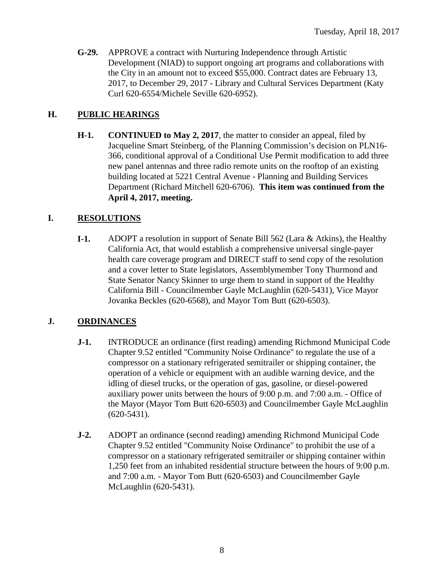**G-29.** APPROVE a contract with Nurturing Independence through Artistic Development (NIAD) to support ongoing art programs and collaborations with the City in an amount not to exceed \$55,000. Contract dates are February 13, 2017, to December 29, 2017 - Library and Cultural Services Department (Katy Curl 620-6554/Michele Seville 620-6952).

## **H. PUBLIC HEARINGS**

**H-1. CONTINUED to May 2, 2017**, the matter to consider an appeal, filed by Jacqueline Smart Steinberg, of the Planning Commission's decision on PLN16- 366, conditional approval of a Conditional Use Permit modification to add three new panel antennas and three radio remote units on the rooftop of an existing building located at 5221 Central Avenue - Planning and Building Services Department (Richard Mitchell 620-6706). **This item was continued from the April 4, 2017, meeting.**

# **I. RESOLUTIONS**

**I-1.** ADOPT a resolution in support of Senate Bill 562 (Lara & Atkins), the Healthy California Act, that would establish a comprehensive universal single-payer health care coverage program and DIRECT staff to send copy of the resolution and a cover letter to State legislators, Assemblymember Tony Thurmond and State Senator Nancy Skinner to urge them to stand in support of the Healthy California Bill - Councilmember Gayle McLaughlin (620-5431), Vice Mayor Jovanka Beckles (620-6568), and Mayor Tom Butt (620-6503).

## **J. ORDINANCES**

- **J-1.** INTRODUCE an ordinance (first reading) amending Richmond Municipal Code Chapter 9.52 entitled "Community Noise Ordinance" to regulate the use of a compressor on a stationary refrigerated semitrailer or shipping container, the operation of a vehicle or equipment with an audible warning device, and the idling of diesel trucks, or the operation of gas, gasoline, or diesel-powered auxiliary power units between the hours of 9:00 p.m. and 7:00 a.m. - Office of the Mayor (Mayor Tom Butt 620-6503) and Councilmember Gayle McLaughlin (620-5431).
- **J-2.** ADOPT an ordinance (second reading) amending Richmond Municipal Code Chapter 9.52 entitled "Community Noise Ordinance" to prohibit the use of a compressor on a stationary refrigerated semitrailer or shipping container within 1,250 feet from an inhabited residential structure between the hours of 9:00 p.m. and 7:00 a.m. - Mayor Tom Butt (620-6503) and Councilmember Gayle McLaughlin (620-5431).